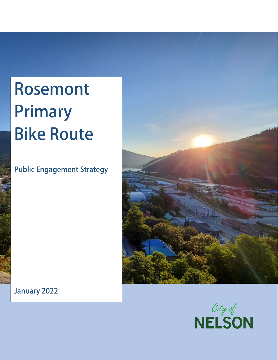# **Rosemont Primary Bike Route**

**Public Engagement Strategy**



**January 2022**

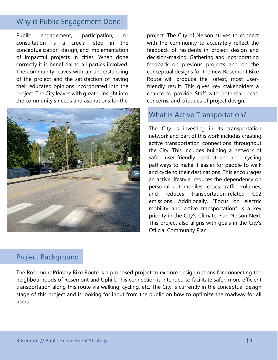#### Why is Public Engagement Done?

Public engagement, participation, or consultation is a crucial step in the conceptualization, design, and implementation of impactful projects in cities. When done correctly it is beneficial to all parties involved. The community leaves with an understanding of the project and the satisfaction of having their educated opinions incorporated into the project. The City leaves with greater insight into the community's needs and aspirations for the



#### Project Background

project. The City of Nelson strives to connect with the community to accurately reflect the feedback of residents in project design and decision-making. Gathering and incorporating feedback on previous projects and on the conceptual designs for the new Rosemont Bike Route will produce the, safest, most userfriendly result. This gives key stakeholders a chance to provide Staff with potential ideas, concerns, and critiques of project design.

#### What is Active Transportation?

The City is investing in its transportation network and part of this work includes creating active transportation connections throughout the City. This includes building a network of safe, user-friendly pedestrian and cycling pathways to make it easier for people to walk and cycle to their destinations. This encourages an active lifestyle, reduces the dependency on personal automobiles, eases traffic volumes, and reduces transportation-related C02 emissions. Additionally, "Focus on electric mobility and active transportation" is a key priority in the City's Climate Plan Nelson Next. This project also aligns with goals in the City's Official Community Plan.

The Rosemont Primary Bike Route is a proposed project to explore design options for connecting the neighbourhoods of Rosemont and Uphill. This connection is intended to facilitate safer, more efficient transportation along this route via walking, cycling, etc. The City is currently in the conceptual design stage of this project and is looking for input from the public on how to optimize the roadway for all users.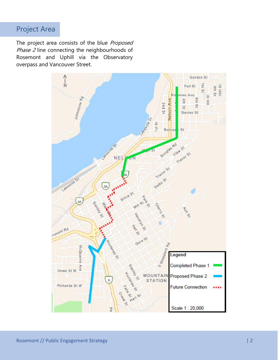#### Project Area

The project area consists of the blue Proposed Phase 2 line connecting the neighbourhoods of Rosemont and Uphill via the Observatory overpass and Vancouver Street.

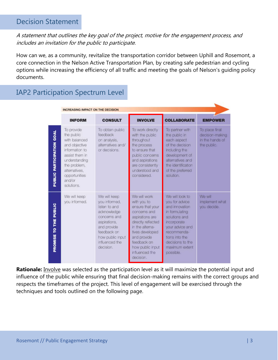#### Decision Statement

#### A statement that outlines the key goal of the project, motive for the engagement process, and includes an invitation for the public to participate.

How can we, as a community, revitalize the transportation corridor between Uphill and Rosemont, a core connection in the Nelson Active Transportation Plan, by creating safe pedestrian and cycling options while increasing the efficiency of all traffic and meeting the goals of Nelson's guiding policy documents.

|                                     | <b>INCREASING IMPACT ON THE DECISION</b>                                                                                                                                                  |                                                                                                                                                                                |                                                                                                                                                                                                                                 |                                                                                                                                                                                                              |                                                                     |  |
|-------------------------------------|-------------------------------------------------------------------------------------------------------------------------------------------------------------------------------------------|--------------------------------------------------------------------------------------------------------------------------------------------------------------------------------|---------------------------------------------------------------------------------------------------------------------------------------------------------------------------------------------------------------------------------|--------------------------------------------------------------------------------------------------------------------------------------------------------------------------------------------------------------|---------------------------------------------------------------------|--|
|                                     | <b>INFORM</b>                                                                                                                                                                             | <b>CONSULT</b>                                                                                                                                                                 | <b>INVOLVE</b>                                                                                                                                                                                                                  | <b>COLLABORATE</b>                                                                                                                                                                                           | <b>EMPOWER</b>                                                      |  |
| PUBLIC PARTICIPATION GOAL           | To provide<br>the public<br>with balanced<br>and objective<br>information to<br>assist them in<br>understanding<br>the problem,<br>alternatives.<br>opportunities<br>and/or<br>solutions. | To obtain public<br>feedback<br>on analysis,<br>alternatives and/<br>or decisions.                                                                                             | To work directly<br>with the public<br>throughout<br>the process<br>to ensure that<br>public concerns<br>and aspirations<br>are consistently<br>understood and<br>considered.                                                   | To partner with<br>the public in<br>each aspect<br>of the decision<br>including the<br>development of<br>alternatives and<br>the identification<br>of the preferred<br>solution.                             | To place final<br>decision-making<br>in the hands of<br>the public. |  |
| <b>PUBLIC</b><br>HE<br>p<br>PROMISE | We will keep<br>you informed.                                                                                                                                                             | We will keep<br>you informed,<br>listen to and<br>acknowledge<br>concerns and<br>aspirations,<br>and provide<br>feedback on<br>how public input<br>influenced the<br>decision. | We will work<br>with you to<br>ensure that your<br>concerns and<br>aspirations are<br>directly reflected<br>in the alterna-<br>tives developed<br>and provide<br>feedback on<br>how public input<br>influenced the<br>decision. | We will look to<br>you for advice<br>and innovation<br>in formulating<br>solutions and<br>incorporate<br>your advice and<br>recommenda-<br>tions into the<br>decisions to the<br>maximum extent<br>possible. | We will<br>implement what<br>you decide.                            |  |

#### IAP2 Participation Spectrum Level

**Rationale:** Involve was selected as the participation level as it will maximize the potential input and influence of the public while ensuring that final decision-making remains with the correct groups and respects the timeframes of the project. This level of engagement will be exercised through the techniques and tools outlined on the following page.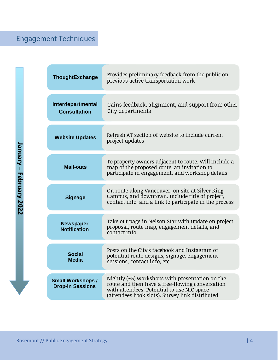## Engagement Techniques

| ThoughtExchange                                     | Provides preliminary feedback from the public on<br>previous active transportation work                                                                                                                |  |
|-----------------------------------------------------|--------------------------------------------------------------------------------------------------------------------------------------------------------------------------------------------------------|--|
| Interdepartmental<br><b>Consultation</b>            | Gains feedback, alignment, and support from other<br>City departments                                                                                                                                  |  |
| <b>Website Updates</b>                              | Refresh AT section of website to include current<br>project updates                                                                                                                                    |  |
| <b>Mail-outs</b>                                    | To property owners adjacent to route. Will include a<br>map of the proposed route, an invitation to<br>participate in engagement, and workshop details                                                 |  |
| <b>Signage</b>                                      | On route along Vancouver, on site at Silver King<br>Campus, and downtown. Include title of project,<br>contact info, and a link to participate in the process                                          |  |
| <b>Newspaper</b><br><b>Notification</b>             | Take out page in Nelson Star with update on project<br>proposal, route map, engagement details, and<br>contact info                                                                                    |  |
| <b>Social</b><br><b>Media</b>                       | Posts on the City's facebook and Instagram of<br>potential route designs, signage, engagement<br>sessions, contact info, etc                                                                           |  |
| <b>Small Workshops /</b><br><b>Drop-in Sessions</b> | Nightly $(-5)$ workshops with presentation on the<br>route and then have a free-flowing conversation<br>with attendees. Potential to use NiC space<br>(attendees book slots). Survey link distributed. |  |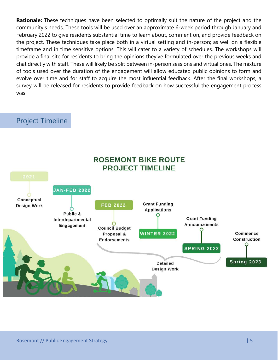**Rationale:** These techniques have been selected to optimally suit the nature of the project and the community's needs. These tools will be used over an approximate 6-week period through January and February 2022 to give residents substantial time to learn about, comment on, and provide feedback on the project. These techniques take place both in a virtual setting and in-person; as well on a flexible timeframe and in time sensitive options. This will cater to a variety of schedules. The workshops will provide a final site for residents to bring the opinions they've formulated over the previous weeks and chat directly with staff. These will likely be split between in-person sessions and virtual ones. The mixture of tools used over the duration of the engagement will allow educated public opinions to form and evolve over time and for staff to acquire the most influential feedback. After the final workshops, a survey will be released for residents to provide feedback on how successful the engagement process was.

#### Project Timeline

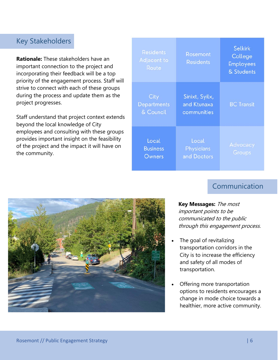#### Key Stakeholders

**Rationale:** These stakeholders have an important connection to the project and incorporating their feedback will be a top priority of the engagement process. Staff will strive to connect with each of these groups during the process and update them as the project progresses.

Staff understand that project context extends beyond the local knowledge of City employees and consulting with these groups provides important insight on the feasibility of the project and the impact it will have on the community.

| <b>Residents</b><br>Adjacent to<br>Route | Rosemont<br><b>Residents</b>                 | <b>Selkirk</b><br>College<br><b>Employees</b><br>& Students |
|------------------------------------------|----------------------------------------------|-------------------------------------------------------------|
| City<br><b>Departments</b><br>& Council  | Sinixt, Syilx,<br>and Ktunaxa<br>communities | <b>BC</b> Transit                                           |
| Local<br><b>Business</b><br>Owners       | Local<br>Physicians<br>and Doctors           | Advocacy<br>Groups                                          |

### **Communication**



**Key Messages:** The most important points to be communicated to the public through this engagement process.

- The goal of revitalizing transportation corridors in the City is to increase the efficiency and safety of all modes of transportation.
- Offering more transportation options to residents encourages a change in mode choice towards a healthier, more active community.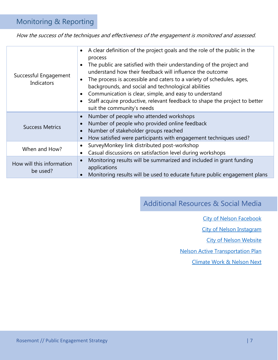#### Monitoring & Reporting

How the success of the techniques and effectiveness of the engagement is monitored and assessed.

| Successful Engagement<br><b>Indicators</b>                                                                                                          | A clear definition of the project goals and the role of the public in the<br>$\bullet$<br>process<br>The public are satisfied with their understanding of the project and<br>understand how their feedback will influence the outcome<br>The process is accessible and caters to a variety of schedules, ages,<br>$\bullet$<br>backgrounds, and social and technological abilities<br>Communication is clear, simple, and easy to understand<br>Staff acquire productive, relevant feedback to shape the project to better<br>suit the community's needs |
|-----------------------------------------------------------------------------------------------------------------------------------------------------|----------------------------------------------------------------------------------------------------------------------------------------------------------------------------------------------------------------------------------------------------------------------------------------------------------------------------------------------------------------------------------------------------------------------------------------------------------------------------------------------------------------------------------------------------------|
| <b>Success Metrics</b>                                                                                                                              | Number of people who attended workshops<br>$\bullet$<br>Number of people who provided online feedback<br>$\bullet$<br>Number of stakeholder groups reached<br>$\bullet$<br>How satisfied were participants with engagement techniques used?<br>$\bullet$                                                                                                                                                                                                                                                                                                 |
| SurveyMonkey link distributed post-workshop<br>$\bullet$<br>When and How?<br>Casual discussions on satisfaction level during workshops<br>$\bullet$ |                                                                                                                                                                                                                                                                                                                                                                                                                                                                                                                                                          |
| How will this information<br>be used?                                                                                                               | Monitoring results will be summarized and included in grant funding<br>applications<br>Monitoring results will be used to educate future public engagement plans                                                                                                                                                                                                                                                                                                                                                                                         |

Additional Resources & Social Media

- [City of Nelson Facebook](https://www.facebook.com/thecityofnelson/)
- [City of Nelson Instagram](https://www.instagram.com/cityofnelson/)

[City of Nelson](https://www.nelson.ca/) Website

[Nelson Active Transportation Plan](https://www.nelson.ca/802/Active-Transportation-Plan)

[Climate Work & Nelson Next](https://www.nelson.ca/804/Climate-Change-Action)